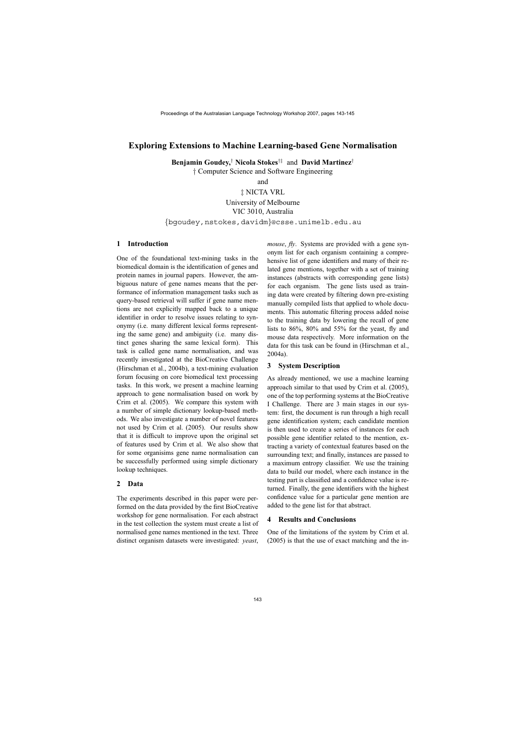# **Exploring Extensions to Machine Learning-based Gene Normalisation**

**Benjamin Goudey,**† **Nicola Stokes**†‡ and **David Martinez**†

† Computer Science and Software Engineering

and

‡ NICTA VRL

University of Melbourne

VIC 3010, Australia

{bgoudey,nstokes,davidm}@csse.unimelb.edu.au

## **1 Introduction**

One of the foundational text-mining tasks in the biomedical domain is the identification of genes and protein names in journal papers. However, the ambiguous nature of gene names means that the performance of information management tasks such as query-based retrieval will suffer if gene name mentions are not explicitly mapped back to a unique identifier in order to resolve issues relating to synonymy (i.e. many different lexical forms representing the same gene) and ambiguity (i.e. many distinct genes sharing the same lexical form). This task is called gene name normalisation, and was recently investigated at the BioCreative Challenge (Hirschman et al., 2004b), a text-mining evaluation forum focusing on core biomedical text processing tasks. In this work, we present a machine learning approach to gene normalisation based on work by Crim et al. (2005). We compare this system with a number of simple dictionary lookup-based methods. We also investigate a number of novel features not used by Crim et al. (2005). Our results show that it is difficult to improve upon the original set of features used by Crim et al. We also show that for some organisims gene name normalisation can be successfully performed using simple dictionary lookup techniques.

#### **2 Data**

The experiments described in this paper were performed on the data provided by the first BioCreative workshop for gene normalisation. For each abstract in the test collection the system must create a list of normalised gene names mentioned in the text. Three distinct organism datasets were investigated: *yeast*,

*mouse*, *fly*. Systems are provided with a gene synonym list for each organism containing a comprehensive list of gene identifiers and many of their related gene mentions, together with a set of training instances (abstracts with corresponding gene lists) for each organism. The gene lists used as training data were created by filtering down pre-existing manually compiled lists that applied to whole documents. This automatic filtering process added noise to the training data by lowering the recall of gene lists to 86%, 80% and 55% for the yeast, fly and mouse data respectively. More information on the data for this task can be found in (Hirschman et al., 2004a).

#### **3 System Description**

As already mentioned, we use a machine learning approach similar to that used by Crim et al. (2005), one of the top performing systems at the BioCreative I Challenge. There are 3 main stages in our system: first, the document is run through a high recall gene identification system; each candidate mention is then used to create a series of instances for each possible gene identifier related to the mention, extracting a variety of contextual features based on the surrounding text; and finally, instances are passed to a maximum entropy classifier. We use the training data to build our model, where each instance in the testing part is classified and a confidence value is returned. Finally, the gene identifiers with the highest confidence value for a particular gene mention are added to the gene list for that abstract.

#### **4 Results and Conclusions**

One of the limitations of the system by Crim et al. (2005) is that the use of exact matching and the in-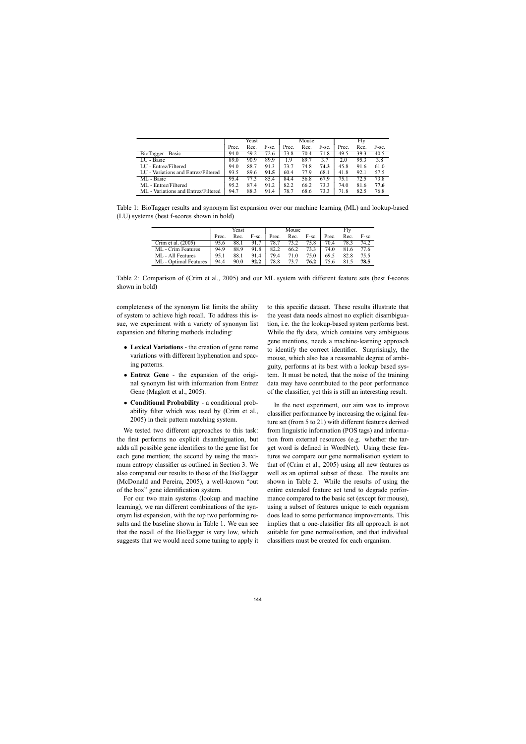|                                     | Yeast |      |       | Mouse |      |       | Fly   |      |       |
|-------------------------------------|-------|------|-------|-------|------|-------|-------|------|-------|
|                                     | Prec. | Rec. | F-sc. | Prec. | Rec. | F-sc. | Prec. | Rec. | F-sc. |
| BioTagger - Basic                   | 94.0  | 59.2 | 72.6  | 73.8  | 70.4 | 71.8  | 49.5  | 39.3 | 40.5  |
| LU - Basic                          | 89.0  | 90.9 | 89.9  | .9    | 89.7 | 3.7   | 2.0   | 95.3 | 3.8   |
| LU - Entrez/Filtered                | 94.0  | 88.7 | 91.3  | 73.7  | 74.8 | 74.3  | 45.8  | 91.6 | 61.0  |
| LU - Variations and Entrez/Filtered | 93.5  | 89.6 | 91.5  | 60.4  | 77.9 | 68.1  | 41.8  | 92.1 | 57.5  |
| ML - Basic                          | 95.4  | 77.3 | 85.4  | 84.4  | 56.8 | 67.9  | 75.1  | 72.5 | 73.8  |
| ML - Entrez/Filtered                | 95.2  | 87.4 | 91.2  | 82.2  | 66.2 | 73.3  | 74.0  | 81.6 | 77.6  |
| ML - Variations and Entrez/Filtered | 94.7  | 88.3 | 91.4  | 78.7  | 68.6 | 73.3  | 71.8  | 82.5 | 76.8  |

Table 1: BioTagger results and synonym list expansion over our machine learning (ML) and lookup-based (LU) systems (best f-scores shown in bold)

|                       | Yeast |      |       |       | Mouse |       | Fly   |      |        |
|-----------------------|-------|------|-------|-------|-------|-------|-------|------|--------|
|                       | Prec. | Rec. | F-sc. | Prec. | Rec.  | F-sc. | Prec. | Rec. | $F-sc$ |
| Crim et al. (2005)    | 95.6  | 88.1 | 91.7  | 78.7  | 73.2  | 75.8  | 70.4  | 78.3 | 74.2   |
| ML - Crim Features    | 94.9  | 88.9 | 91.8  | 82.2  | 66.2  | 73.3  | 74.0  | 81.6 | 77.6   |
| ML - All Features     | 95.1  | 88.1 | 91.4  | 79.4  | 71.0  | 75.0  | 69.5  | 82.8 | 75.5   |
| ML - Optimal Features | 94.4  | 90.0 | 92.2  | 78.8  | 73.7  | 76.2  | 75.6  | 81.5 | 78.5   |

Table 2: Comparison of (Crim et al., 2005) and our ML system with different feature sets (best f-scores shown in bold)

completeness of the synonym list limits the ability of system to achieve high recall. To address this issue, we experiment with a variety of synonym list expansion and filtering methods including:

- **Lexical Variations** the creation of gene name variations with different hyphenation and spacing patterns.
- **Entrez Gene** the expansion of the original synonym list with information from Entrez Gene (Maglott et al., 2005).
- **Conditional Probability** a conditional probability filter which was used by (Crim et al., 2005) in their pattern matching system.

We tested two different approaches to this task: the first performs no explicit disambiguation, but adds all possible gene identifiers to the gene list for each gene mention; the second by using the maximum entropy classifier as outlined in Section 3. We also compared our results to those of the BioTagger (McDonald and Pereira, 2005), a well-known "out of the box" gene identification system.

For our two main systems (lookup and machine learning), we ran different combinations of the synonym list expansion, with the top two performing results and the baseline shown in Table 1. We can see that the recall of the BioTagger is very low, which suggests that we would need some tuning to apply it

to this specific dataset. These results illustrate that the yeast data needs almost no explicit disambiguation, i.e. the the lookup-based system performs best. While the fly data, which contains very ambiguous gene mentions, needs a machine-learning approach to identify the correct identifier. Surprisingly, the mouse, which also has a reasonable degree of ambiguity, performs at its best with a lookup based system. It must be noted, that the noise of the training data may have contributed to the poor performance of the classifier, yet this is still an interesting result.

In the next experiment, our aim was to improve classifier performance by increasing the original feature set (from 5 to 21) with different features derived from linguistic information (POS tags) and information from external resources (e.g. whether the target word is defined in WordNet). Using these features we compare our gene normalisation system to that of (Crim et al., 2005) using all new features as well as an optimal subset of these. The results are shown in Table 2. While the results of using the entire extended feature set tend to degrade performance compared to the basic set (except for mouse), using a subset of features unique to each organism does lead to some performance improvements. This implies that a one-classifier fits all approach is not suitable for gene normalisation, and that individual classifiers must be created for each organism.